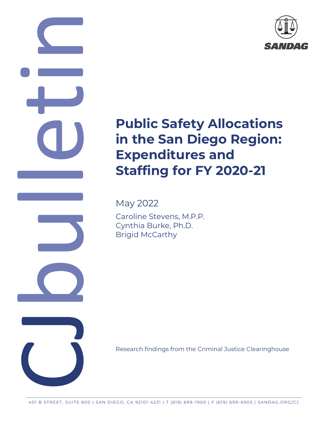

# **Public Safety Allocations in the San Diego Region: Expenditures and Staffing for FY 2020-21**

May 2022

CO CO CO

Caroline Stevens, M.P.P. Cynthia Burke, Ph.D. Brigid McCarthy

Research findings from the Criminal Justice Clearinghouse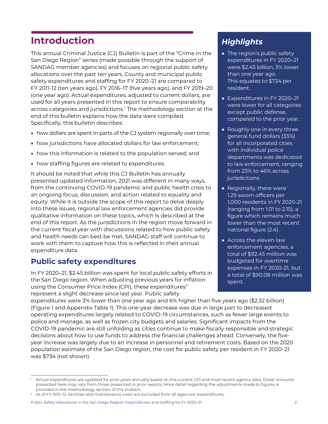# **Introduction**

This annual Criminal Justice (CJ) Bulletin is part of the "Crime in the San Diego Region" series (made possible through the support of SANDAG member agencies) and focuses on regional public safety allocations over the past ten years. County and municipal public safety expenditures and staffing for FY 2020–21 are compared to FY 2011-12 (ten years ago), FY 2016–17 (five years ago), and FY 2019–20 (one year ago). Actual expenditures, adjusted to current dollars, are used for all years presented in this report to ensure comparability across categories and jurisdictions. [1](#page-1-0) The methodology section at the end of this bulletin explains how the data were compiled. Specifically, this bulletin describes:

- how dollars are spent in parts of the CJ system regionally over time;
- how jurisdictions have allocated dollars for law enforcement;
- how this information is related to the population served; and
- how staffing figures are related to expenditures.

It should be noted that while this CJ Bulletin has annually presented updated information, 2021 was different in many ways, from the continuing COVID-19 pandemic and public health crisis to an ongoing focus, discussion, and action related to equality and equity. While it is outside the scope of this report to delve deeply into these issues, regional law enforcement agencies did provide qualitative information on these topics, which is described at the end of this report. As the jurisdictions in the region move forward in the current fiscal year with discussions related to how public safety and health needs can best be met, SANDAG staff will continue to work with them to capture how this is reflected in their annual expenditure data.

# **Public safety expenditures**

In FY 2020–21, \$2.45 billion was spent for local public safety efforts in the San Diego region. When adjusting previous years for inflation using the Consumer Price Index (CPI), these expenditures<sup>[2](#page-1-1)</sup> represent a slight decrease since last year. Public safety

# *Highlights*

- The region's public safety expenditures in FY 2020–21 were \$2.45 billion, 3% lower than one year ago. This equates to \$734 per resident.
- Expenditures in FY 2020–21 were lower for all categories except public defense, compared to the prior year.
- Roughly one in every three general fund dollars (33%) for all incorporated cities with individual police departments was dedicated to law enforcement, ranging from 23% to 46% across jurisdictions.
- Regionally, there were 1.29 sworn officers per 1,000 residents in FY 2020-21 (ranging from 1.01 to 2.15), a figure which remains much lower than the most recent national figure (2.4).
- Across the eleven law enforcement agencies, a total of \$92.45 million was budgeted for overtime expenses in FY 2020-21, but a total of \$90.08 million was spent.

expenditures were 3% lower than one year ago and 6% higher than five years ago (\$2.32 billion) (Figure 1 and Appendix Table 1). This one-year decrease was due in large part to decreased operating expenditures largely related to COVID-19 circumstances, such as fewer large events to police and manage, as well as frozen city budgets and salaries. Significant impacts from the COVID-19 pandemic are still unfolding as cities continue to make fiscally responsible and strategic decisions about how to use funds to address the financial challenges ahead. Conversely, the fiveyear increase was largely due to an increase in personnel and retirement costs. Based on the 2020 population estimate of the San Diego region, the cost for public safety per resident in FY 2020–21 was \$734 (not shown).

<span id="page-1-0"></span><sup>&</sup>lt;sup>1</sup> Actual expenditures are updated for prior years annually based on the current CPI and most recent agency data. Dollar amounts presented here may vary from those presented in prior reports. More detail regarding the adjustments made to figures is provided in the methodology section of this bulletin.

<span id="page-1-1"></span><sup>&</sup>lt;sup>2</sup> As of FY 2011-12, facilities and maintenance costs are excluded from all agencies' expenditures.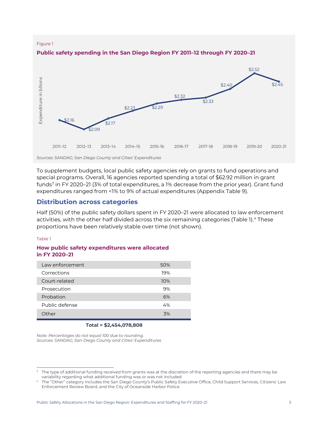#### Figure 1



#### **Public safety spending in the San Diego Region FY 2011–12 through FY 2020–21**

*Sources: SANDAG; San Diego County and Cities' Expenditures*

To supplement budgets, local public safety agencies rely on grants to fund operations and special programs. Overall, 16 agencies reported spending a total of \$62.92 million in grant funds<sup>[3](#page-2-0)</sup> in FY 2020–21 (3% of total expenditures, a 1% decrease from the prior year). Grant fund expenditures ranged from <1% to 9% of actual expenditures (Appendix Table 9).

### **Distribution across categories**

Half (50%) of the public safety dollars spent in FY 2020–21 were allocated to law enforcement activities, with the other half divided across the six remaining categories (Table 1). [4](#page-2-1) These proportions have been relatively stable over time (not shown).

#### Table 1

#### **How public safety expenditures were allocated in FY 2020–21**

| Law enforcement | 50% |
|-----------------|-----|
| Corrections     | 19% |
| Court-related   | 10% |
| Prosecution     | 9%  |
| Probation       | 6%  |
| Public defense  | 4%  |
| Other           | .3% |
|                 |     |

#### **Total = \$2,454,078,808**

*Note: Percentages do not equal 100 due to rounding. Sources: SANDAG; San Diego County and Cities' Expenditures*

<span id="page-2-0"></span>The type of additional funding received from grants was at the discretion of the reporting agencies and there may be variability regarding what additional funding was or was not included.

<span id="page-2-1"></span>The "Other" category includes the San Diego County's Public Safety Executive Office, Child Support Services, Citizens' Law Enforcement Review Board, and the City of Oceanside Harbor Police.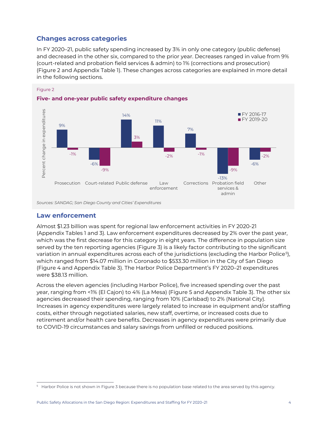# **Changes across categories**

In FY 2020–21, public safety spending increased by 3% in only one category (public defense) and decreased in the other six, compared to the prior year. Decreases ranged in value from 9% (court-related and probation field services & admin) to 1% (corrections and prosecution) (Figure 2 and Appendix Table 1). These changes across categories are explained in more detail in the following sections.



#### Figure 2

*Sources: SANDAG; San Diego County and Cities' Expenditures*

#### **Law enforcement**

Almost \$1.23 billion was spent for regional law enforcement activities in FY 2020-21 (Appendix Tables 1 and 3). Law enforcement expenditures decreased by 2% over the past year, which was the first decrease for this category in eight years. The difference in population size served by the ten reporting agencies (Figure 3) is a likely factor contributing to the significant variation in annual expenditures across each of the jurisdictions (excluding the Harbor Police $^{\rm 5)}$  $^{\rm 5)}$  $^{\rm 5)}$ , which ranged from \$14.07 million in Coronado to \$533.30 million in the City of San Diego (Figure 4 and Appendix Table 3). The Harbor Police Department's FY 2020–21 expenditures were \$38.13 million.

Across the eleven agencies (including Harbor Police), five increased spending over the past year, ranging from <1% (El Cajon) to 4% (La Mesa) (Figure 5 and Appendix Table 3). The other six agencies decreased their spending, ranging from 10% (Carlsbad) to 2% (National City). Increases in agency expenditures were largely related to increase in equipment and/or staffing costs, either through negotiated salaries, new staff, overtime, or increased costs due to retirement and/or health care benefits. Decreases in agency expenditures were primarily due to COVID-19 circumstances and salary savings from unfilled or reduced positions.

<span id="page-3-0"></span><sup>&</sup>lt;sup>5</sup> Harbor Police is not shown in Figure 3 because there is no population base related to the area served by this agency.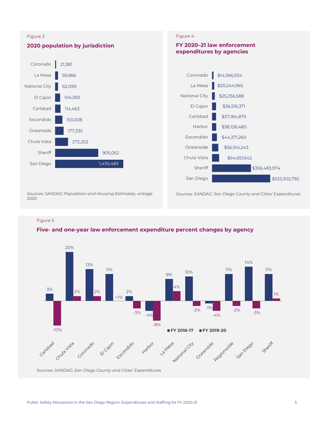

Figure 5

#### **Five- and one-year law enforcement expenditure percent changes by agency**

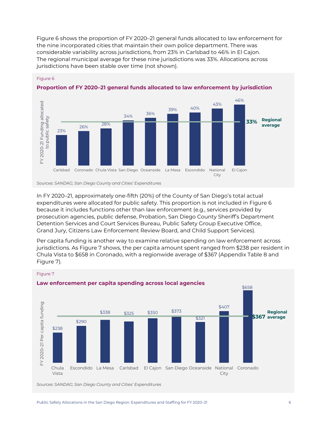Figure 6 shows the proportion of FY 2020–21 general funds allocated to law enforcement for the nine incorporated cities that maintain their own police department. There was considerable variability across jurisdictions, from 23% in Carlsbad to 46% in El Cajon. The regional municipal average for these nine jurisdictions was 33%. Allocations across jurisdictions have been stable over time (not shown).



#### Figure 6



*Sources: SANDAG; San Diego County and Cities' Expenditures*

In FY 2020–21, approximately one-fifth (20%) of the County of San Diego's total actual expenditures were allocated for public safety. This proportion is not included in Figure 6 because it includes functions other than law enforcement (e.g., services provided by prosecution agencies, public defense, Probation, San Diego County Sheriff's Department Detention Services and Court Services Bureau, Public Safety Group Executive Office, Grand Jury, Citizens Law Enforcement Review Board, and Child Support Services).

Per capita funding is another way to examine relative spending on law enforcement across jurisdictions. As Figure 7 shows, the per capita amount spent ranged from \$238 per resident in Chula Vista to \$658 in Coronado, with a regionwide average of \$367 (Appendix Table 8 and Figure 7).



*Sources: SANDAG; San Diego County and Cities' Expenditures*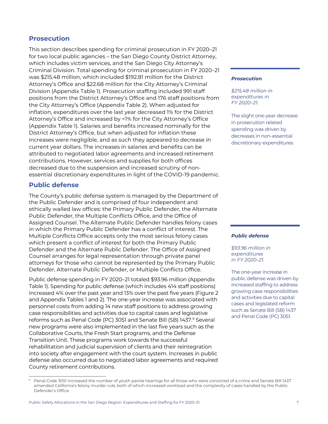# **Prosecution**

This section describes spending for criminal prosecution in FY 2020–21 for two local public agencies – the San Diego County District Attorney, which includes victim services, and the San Diego City Attorney's Criminal Division. Total spending for criminal prosecution in FY 2020–21 was \$215.48 million, which included \$192.81 million for the District Attorney's Office and \$22.68 million for the City Attorney's Criminal Division (Appendix Table 1). Prosecution staffing included 991 staff positions from the District Attorney's Office and 176 staff positions from the City Attorney's Office (Appendix Table 2). When adjusted for inflation, expenditures over the last year decreased 1% for the District Attorney's Office and increased by <1% for the City Attorney's Office (Appendix Table 1). Salaries and benefits increased nominally for the District Attorney's Office, but when adjusted for inflation these increases were negligible, and as such they appeared to decrease in current year dollars. The increases in salaries and benefits can be attributed to negotiated labor agreements and increased retirement contributions. However, services and supplies for both offices decreased due to the suspension and increased scrutiny of nonessential discretionary expenditures in light of the COVID-19 pandemic.

### **Public defense**

The County's public defense system is managed by the Department of the Public Defender and is comprised of four independent and ethically walled law offices: the Primary Public Defender, the Alternate Public Defender, the Multiple Conflicts Office, and the Office of Assigned Counsel. The Alternate Public Defender handles felony cases in which the Primary Public Defender has a conflict of interest. The Multiple Conflicts Office accepts only the most serious felony cases which present a conflict of interest for both the Primary Public Defender and the Alternate Public Defender. The Office of Assigned Counsel arranges for legal representation through private panel attorneys for those who cannot be represented by the Primary Public Defender, Alternate Public Defender, or Multiple Conflicts Office.

Public defense spending in FY 2020–21 totaled \$93.96 million (Appendix Table 1). Spending for public defense (which includes 414 staff positions) increased 4% over the past year and 13% over the past five years (Figure 2 and Appendix Tables 1 and 2). The one-year increase was associated with personnel costs from adding 14 new staff positions to address growing case responsibilities and activities due to capital cases and legislative reforms such as Penal Code (PC) 3051 and Senate Bill (SB) 1437.<sup>[6](#page-6-0)</sup> Several new programs were also implemented in the last five years such as the Collaborative Courts, the Fresh Start programs, and the Defense Transition Unit. These programs work towards the successful rehabilitation and judicial supervision of clients and their reintegration into society after engagement with the court system. Increases in public defense also occurred due to negotiated labor agreements and required County retirement contributions.

#### *Prosecution*

*\$215.48 million in expenditures in FY 2020–21.* 

The slight one-year decrease in prosecution related spending was driven by decreases in non-essential discretionary expenditures.

#### *Public defense*

*\$93.96 million in expenditures in FY 2020–21.*

The one-year increase in public defense was driven by increased staffing to address growing case responsibilities and activities due to capital cases and legislated reform such as Senate Bill (SB) 1437 and Penal Code (PC) 3051.

<span id="page-6-0"></span><sup>6</sup> Penal Code 3051 increased the number of youth parole hearings for all those who were convicted of a crime and Senate Bill 1437 amended California's felony murder rule, both of which increased workload and the complexity of cases handled by the Public Defender's Office.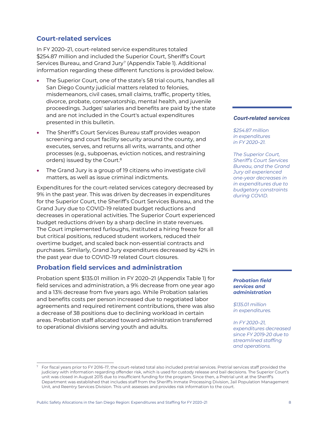# **Court-related services**

In FY 2020–21, court-related service expenditures totaled \$254.87 million and included the Superior Court, Sheriff's Court Services Bureau, and Grand Jury<sup>[7](#page-7-0)</sup> (Appendix Table 1). Additional information regarding these different functions is provided below.

- The Superior Court, one of the state's 58 trial courts, handles all San Diego County judicial matters related to felonies, misdemeanors, civil cases, small claims, traffic, property titles, divorce, probate, conservatorship, mental health, and juvenile proceedings. Judges' salaries and benefits are paid by the state and are not included in the Court's actual expenditures presented in this bulletin.
- The Sheriff's Court Services Bureau staff provides weapon screening and court facility security around the county, and executes, serves, and returns all writs, warrants, and other processes (e.g., subpoenas, eviction notices, and restraining orders) issued by the Court.<sup>8</sup>
- The Grand Jury is a group of 19 citizens who investigate civil matters, as well as issue criminal indictments.

Expenditures for the court-related services category decreased by 9% in the past year. This was driven by decreases in expenditures for the Superior Court, the Sheriff's Court Services Bureau, and the Grand Jury due to COVID-19 related budget reductions and decreases in operational activities. The Superior Court experienced budget reductions driven by a sharp decline in state revenues. The Court implemented furloughs, instituted a hiring freeze for all but critical positions, reduced student workers, reduced their overtime budget, and scaled back non-essential contracts and purchases. Similarly, Grand Jury expenditures decreased by 42% in the past year due to COVID-19 related Court closures.

# **Probation field services and administration**

Probation spent \$135.01 million in FY 2020–21 (Appendix Table 1) for field services and administration, a 9% decrease from one year ago and a 13% decrease from five years ago. While Probation salaries and benefits costs per person increased due to negotiated labor agreements and required retirement contributions, there was also a decrease of 38 positions due to declining workload in certain areas. Probation staff allocated toward administration transferred to operational divisions serving youth and adults.

# *Court-related services*

*\$254.87 million in expenditures in FY 2020–21.* 

*The Superior Court, Sheriff's Court Services Bureau, and the Grand Jury all experienced one-year decreases in in expenditures due to budgetary constraints during COVID.* 

#### *Probation field services and administration*

*\$135.01 million in expenditures.* 

*In FY 2020–21, expenditures decreased since FY 2019-20 due to streamlined staffing and operations.* 

<span id="page-7-0"></span><sup>7</sup> For fiscal years prior to FY 2016–17, the court-related total also included pretrial services. Pretrial services staff provided the judiciary with information regarding offender risk, which is used for custody release and bail decisions. The Superior Court's unit was closed in August 2015 due to insufficient funding for the program. Since then, a Pretrial unit at the Sheriff's Department was established that includes staff from the Sheriff's Inmate Processing Division, Jail Population Management Unit, and Reentry Services Division. This unit assesses and provides risk information to the court.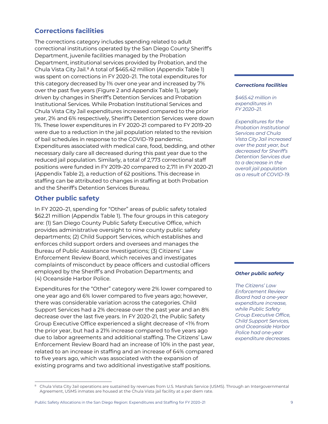# **Corrections facilities**

The corrections category includes spending related to adult correctional institutions operated by the San Diego County Sheriff's Department, juvenile facilities managed by the Probation Department, institutional services provided by Probation, and the Chula Vista City Jail.<sup>[8](#page-8-0)</sup> A total of \$465.42 million (Appendix Table 1) was spent on corrections in FY 2020–21. The total expenditures for this category decreased by 1% over one year and increased by 7% over the past five years (Figure 2 and Appendix Table 1), largely driven by changes in Sheriff's Detention Services and Probation Institutional Services. While Probation Institutional Services and Chula Vista City Jail expenditures increased compared to the prior year, 2% and 6% respectively, Sheriff's Detention Services were down 1%. These lower expenditures in FY 2020-21 compared to FY 2019-20 were due to a reduction in the jail population related to the revision of bail schedules in response to the COVID-19 pandemic. Expenditures associated with medical care, food, bedding, and other necessary daily care all decreased during this past year due to the reduced jail population. Similarly, a total of 2,773 correctional staff positions were funded in FY 2019–20 compared to 2,711 in FY 2020-21 (Appendix Table 2), a reduction of 62 positions. This decrease in staffing can be attributed to changes in staffing at both Probation and the Sheriff's Detention Services Bureau.

# **Other public safety**

In FY 2020–21, spending for "Other" areas of public safety totaled \$62.21 million (Appendix Table 1). The four groups in this category are: (1) San Diego County Public Safety Executive Office, which provides administrative oversight to nine county public safety departments; (2) Child Support Services, which establishes and enforces child support orders and oversees and manages the Bureau of Public Assistance Investigations; (3) Citizens' Law Enforcement Review Board, which receives and investigates complaints of misconduct by peace officers and custodial officers employed by the Sheriff's and Probation Departments; and (4) Oceanside Harbor Police.

Expenditures for the "Other" category were 2% lower compared to one year ago and 6% lower compared to five years ago; however, there was considerable variation across the categories. Child Support Services had a 2% decrease over the past year and an 8% decrease over the last five years. In FY 2020-21, the Public Safety Group Executive Office experienced a slight decrease of <1% from the prior year, but had a 21% increase compared to five years ago due to labor agreements and additional staffing. The Citizens' Law Enforcement Review Board had an increase of 10% in the past year, related to an increase in staffing and an increase of 64% compared to five years ago, which was associated with the expansion of existing programs and two additional investigative staff positions.

#### *Corrections facilities*

*\$465.42 million in expenditures in FY 2020–21.* 

*Expenditures for the Probation Institutional Services and Chula Vista City Jail increased over the past year, but decreased for Sheriff's Detention Services due to a decrease in the overall jail population as a result of COVID-19.* 

#### *Other public safety*

*The Citizens' Law Enforcement Review Board had a one-year expenditure increase, while Public Safety Group Executive Office, Child Support Services, and Oceanside Harbor Police had one-year expenditure decreases.*

<span id="page-8-0"></span><sup>8</sup> Chula Vista City Jail operations are sustained by revenues from U.S. Marshals Service (USMS). Through an Intergovernmental Agreement, USMS inmates are housed at the Chula Vista jail facility at a per diem rate.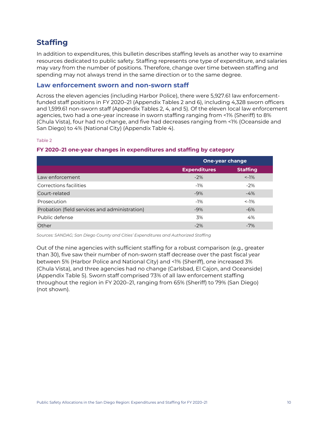# **Staffing**

In addition to expenditures, this bulletin describes staffing levels as another way to examine resources dedicated to public safety. Staffing represents one type of expenditure, and salaries may vary from the number of positions. Therefore, change over time between staffing and spending may not always trend in the same direction or to the same degree.

### **Law enforcement sworn and non-sworn staff**

Across the eleven agencies (including Harbor Police), there were 5,927.61 law enforcementfunded staff positions in FY 2020–21 (Appendix Tables 2 and 6), including 4,328 sworn officers and 1,599.61 non-sworn staff (Appendix Tables 2, 4, and 5). Of the eleven local law enforcement agencies, two had a one-year increase in sworn staffing ranging from <1% (Sheriff) to 8% (Chula Vista), four had no change, and five had decreases ranging from <1% (Oceanside and San Diego) to 4% (National City) (Appendix Table 4).

#### Table 2

#### **FY 2020–21 one-year changes in expenditures and staffing by category**

|                                               | <b>One-year change</b> |                 |  |  |
|-----------------------------------------------|------------------------|-----------------|--|--|
|                                               | <b>Expenditures</b>    | <b>Staffing</b> |  |  |
| Law enforcement                               | $-2%$                  | $< -1\%$        |  |  |
| Corrections facilities                        | $-1%$                  | $-2%$           |  |  |
| Court-related                                 | $-9%$                  | $-4%$           |  |  |
| Prosecution                                   | $-1\%$                 | $< -1\%$        |  |  |
| Probation (field services and administration) | $-9%$                  | $-6%$           |  |  |
| Public defense                                | 3%                     | 4%              |  |  |
| Other                                         | $-2\%$                 | $-7%$           |  |  |

*Sources: SANDAG; San Diego County and Cities' Expenditures and Authorized Staffing*

Out of the nine agencies with sufficient staffing for a robust comparison (e.g., greater than 30), five saw their number of non-sworn staff decrease over the past fiscal year between 5% (Harbor Police and National City) and <1% (Sheriff), one increased 3% (Chula Vista), and three agencies had no change (Carlsbad, El Cajon, and Oceanside) (Appendix Table 5). Sworn staff comprised 73% of all law enforcement staffing throughout the region in FY 2020–21, ranging from 65% (Sheriff) to 79% (San Diego) (not shown).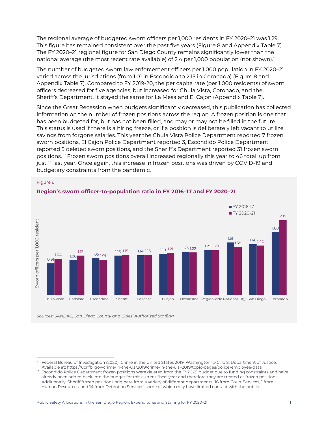The regional average of budgeted sworn officers per 1,000 residents in FY 2020–21 was 1.29. This figure has remained consistent over the past five years (Figure 8 and Appendix Table 7). The FY 2020–21 regional figure for San Diego County remains significantly lower than the national average (the most recent rate available) of 2.4 per 1,000 population (not shown).<sup>[9](#page-10-0)</sup>

The number of budgeted sworn law enforcement officers per 1,000 population in FY 2020–21 varied across the jurisdictions (from 1.01 in Escondido to 2.15 in Coronado) (Figure 8 and Appendix Table 7). Compared to FY 2019-20, the per capita rate (per 1,000 residents) of sworn officers decreased for five agencies, but increased for Chula Vista, Coronado, and the Sheriff's Department. It stayed the same for La Mesa and El Cajon (Appendix Table 7).

Since the Great Recession when budgets significantly decreased, this publication has collected information on the number of frozen positions across the region. A frozen position is one that has been budgeted for, but has not been filled, and may or may not be filled in the future. This status is used if there is a hiring freeze, or if a position is deliberately left vacant to utilize savings from forgone salaries. This year the Chula Vista Police Department reported 7 frozen sworn positions, El Cajon Police Department reported 3, Escondido Police Department reported 5 deleted sworn positions, and the Sheriff's Department reported 31 frozen sworn positions. [10](#page-10-1) Frozen sworn positions overall increased regionally this year to 46 total, up from just 11 last year. Once again, this increase in frozen positions was driven by COVID-19 and budgetary constraints from the pandemic.



#### Figure 8

<span id="page-10-0"></span>Federal Bureau of Investigation (2020). Crime in the United States 2019. Washington, D.C.: U.S. Department of Justice. Available at: https://ucr.fbi.gov/crime-in-the-u.s/2019/crime-in-the-u.s.-2019/topic-pages/police-employee-data

<span id="page-10-1"></span><sup>&</sup>lt;sup>10</sup> Escondido Police Department frozen positions were deleted from the FY20-21 budget due to funding constraints and have already been added back into the budget for this current fiscal year and therefore they are treated as frozen positions. Additionally, Sheriff frozen positions originate from a variety of different departments (16 from Court Services, 1 from Human Resources, and 14 from Detention Services) some of which may have limited contact with the public.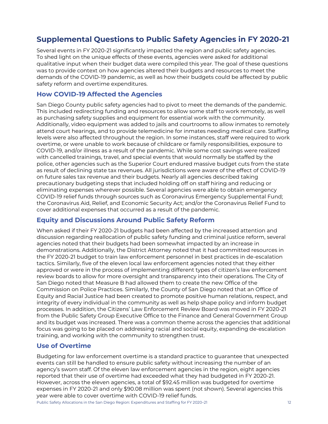# **Supplemental Questions to Public Safety Agencies in FY 2020-21**

Several events in FY 2020-21 significantly impacted the region and public safety agencies. To shed light on the unique effects of these events, agencies were asked for additional qualitative input when their budget data were compiled this year. The goal of these questions was to provide context on how agencies altered their budgets and resources to meet the demands of the COVID-19 pandemic, as well as how their budgets could be affected by public safety reform and overtime expenditures.

# **How COVID-19 Affected the Agencies**

San Diego County public safety agencies had to pivot to meet the demands of the pandemic. This included redirecting funding and resources to allow some staff to work remotely, as well as purchasing safety supplies and equipment for essential work with the community. Additionally, video equipment was added to jails and courtrooms to allow inmates to remotely attend court hearings, and to provide telemedicine for inmates needing medical care. Staffing levels were also affected throughout the region. In some instances, staff were required to work overtime, or were unable to work because of childcare or family responsibilities, exposure to COVID-19, and/or illness as a result of the pandemic. While some cost savings were realized with cancelled trainings, travel, and special events that would normally be staffed by the police, other agencies such as the Superior Court endured massive budget cuts from the state as result of declining state tax revenues. All jurisdictions were aware of the effect of COVID-19 on future sales tax revenue and their budgets. Nearly all agencies described taking precautionary budgeting steps that included holding off on staff hiring and reducing or eliminating expenses wherever possible. Several agencies were able to obtain emergency COVID-19 relief funds through sources such as Coronavirus Emergency Supplemental Fund; the Coronavirus Aid, Relief, and Economic Security Act; and/or the Coronavirus Relief Fund to cover additional expenses that occurred as a result of the pandemic.

# **Equity and Discussions Around Public Safety Reform**

When asked if their FY 2020-21 budgets had been affected by the increased attention and discussion regarding reallocation of public safety funding and criminal justice reform, several agencies noted that their budgets had been somewhat impacted by an increase in demonstrations. Additionally, the District Attorney noted that it had committed resources in the FY 2020-21 budget to train law enforcement personnel in best practices in de-escalation tactics. Similarly, five of the eleven local law enforcement agencies noted that they either approved or were in the process of implementing different types of citizen's law enforcement review boards to allow for more oversight and transparency into their operations. The City of San Diego noted that Measure B had allowed them to create the new Office of the Commission on Police Practices. Similarly, the County of San Diego noted that an Office of Equity and Racial Justice had been created to promote positive human relations, respect, and integrity of every individual in the community as well as help shape policy and inform budget processes. In addition, the Citizens' Law Enforcement Review Board was moved in FY 2020-21 from the Public Safety Group Executive Office to the Finance and General Government Group and its budget was increased. There was a common theme across the agencies that additional focus was going to be placed on addressing racial and social equity, expanding de-escalation training, and working with the community to strengthen trust.

# **Use of Overtime**

Budgeting for law enforcement overtime is a standard practice to guarantee that unexpected events can still be handled to ensure public safety without increasing the number of an agency's sworn staff. Of the eleven law enforcement agencies in the region, eight agencies reported that their use of overtime had exceeded what they had budgeted in FY 2020-21. However, across the eleven agencies, a total of \$92.45 million was budgeted for overtime expenses in FY 2020-21 and only \$90.08 million was spent (not shown). Several agencies this year were able to cover overtime with COVID-19 relief funds.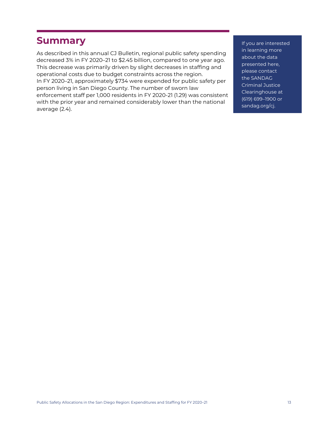# **Summary**

As described in this annual CJ Bulletin, regional public safety spending decreased 3% in FY 2020–21 to \$2.45 billion, compared to one year ago. This decrease was primarily driven by slight decreases in staffing and operational costs due to budget constraints across the region. In FY 2020–21, approximately \$734 were expended for public safety per person living in San Diego County. The number of sworn law enforcement staff per 1,000 residents in FY 2020-21 (1.29) was consistent with the prior year and remained considerably lower than the national average (2.4).

If you are interested in learning more about the data presented here, please contact the SANDAG Criminal Justice Clearinghouse at (619) 699–1900 or [sandag.org/cj.](http://www.sandag.org/cj)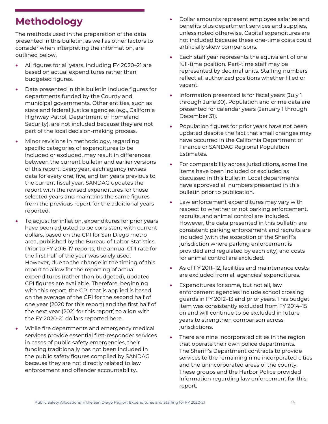# **Methodology**

The methods used in the preparation of the data presented in this bulletin, as well as other factors to consider when interpreting the information, are outlined below.

- All figures for all years, including FY 2020–21 are based on actual expenditures rather than budgeted figures.
- Data presented in this bulletin include figures for departments funded by the County and municipal governments. Other entities, such as state and federal justice agencies (e.g., California Highway Patrol, Department of Homeland Security), are not included because they are not part of the local decision-making process.
- Minor revisions in methodology, regarding specific categories of expenditures to be included or excluded, may result in differences between the current bulletin and earlier versions of this report. Every year, each agency revises data for every one, five, and ten years previous to the current fiscal year. SANDAG updates the report with the revised expenditures for those selected years and maintains the same figures from the previous report for the additional years reported.
- To adjust for inflation, expenditures for prior years have been adjusted to be consistent with current dollars, based on the CPI for San Diego metro area, published by the Bureau of Labor Statistics. Prior to FY 2016-17 reports, the annual CPI rate for the first half of the year was solely used. However, due to the change in the timing of this report to allow for the reporting of actual expenditures (rather than budgeted), updated CPI figures are available. Therefore, beginning with this report, the CPI that is applied is based on the average of the CPI for the second half of one year (2020 for this report) and the first half of the next year (2021 for this report) to align with the FY 2020-21 dollars reported here.
- While fire departments and emergency medical services provide essential first-responder services in cases of public safety emergencies, their funding traditionally has not been included in the public safety figures compiled by SANDAG because they are not directly related to law enforcement and offender accountability.
- Dollar amounts represent employee salaries and benefits plus department services and supplies, unless noted otherwise. Capital expenditures are not included because these one-time costs could artificially skew comparisons.
- Each staff year represents the equivalent of one full-time position. Part-time staff may be represented by decimal units. Staffing numbers reflect all authorized positions whether filled or vacant.
- Information presented is for fiscal years (July 1 through June 30). Population and crime data are presented for calendar years (January 1 through December 31).
- Population figures for prior years have not been updated despite the fact that small changes may have occurred in the California Department of Finance or SANDAG Regional Population Estimates.
- For comparability across jurisdictions, some line items have been included or excluded as discussed in this bulletin. Local departments have approved all numbers presented in this bulletin prior to publication.
- Law enforcement expenditures may vary with respect to whether or not parking enforcement, recruits, and animal control are included. However, the data presented in this bulletin are consistent: parking enforcement and recruits are included (with the exception of the Sheriff's jurisdiction where parking enforcement is provided and regulated by each city) and costs for animal control are excluded.
- As of FY 2011-12, facilities and maintenance costs are excluded from all agencies' expenditures.
- Expenditures for some, but not all, law enforcement agencies include school crossing guards in FY 2012–13 and prior years. This budget item was consistently excluded from FY 2014–15 on and will continue to be excluded in future years to strengthen comparison across jurisdictions.
- There are nine incorporated cities in the region that operate their own police departments. The Sheriff's Department contracts to provide services to the remaining nine incorporated cities and the unincorporated areas of the county. These groups and the Harbor Police provided information regarding law enforcement for this report.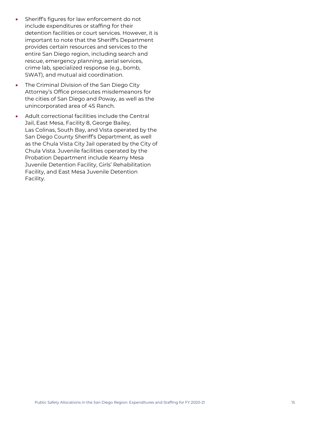- Sheriff's figures for law enforcement do not include expenditures or staffing for their detention facilities or court services. However, it is important to note that the Sheriff's Department provides certain resources and services to the entire San Diego region, including search and rescue, emergency planning, aerial services, crime lab, specialized response (e.g., bomb, SWAT), and mutual aid coordination.
- The Criminal Division of the San Diego City Attorney's Office prosecutes misdemeanors for the cities of San Diego and Poway, as well as the unincorporated area of 4S Ranch.
- Adult correctional facilities include the Central Jail, East Mesa, Facility 8, George Bailey, Las Colinas, South Bay, and Vista operated by the San Diego County Sheriff's Department, as well as the Chula Vista City Jail operated by the City of Chula Vista. Juvenile facilities operated by the Probation Department include Kearny Mesa Juvenile Detention Facility, Girls' Rehabilitation Facility, and East Mesa Juvenile Detention Facility.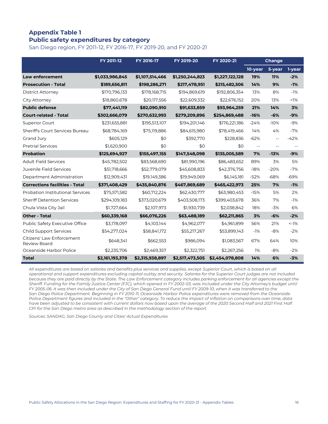# **Appendix Table 1 Public safety expenditures by category**

San Diego region, FY 2011-12, FY 2016-17, FY 2019-20, and FY 2020-21

|                                           | FY 2011-12      | FY 2016-17      | FY 2019-20      | FY 2020-21      |                          | Change |         |
|-------------------------------------------|-----------------|-----------------|-----------------|-----------------|--------------------------|--------|---------|
|                                           |                 |                 |                 |                 | 10-year                  | 5-year | 1-year  |
| <b>Law enforcement</b>                    | \$1,033,986,845 | \$1,107,514,466 | \$1,250,244,823 | \$1,227,122,128 | 19%                      | 11%    | $-2%$   |
| <b>Prosecution - Total</b>                | \$189,656,811   | \$198,286,271   | \$217,478,951   | \$215,482,506   | 14%                      | 9%     | $-1%$   |
| District Attorney                         | \$170,796,133   | \$178,168,715   | \$194,869,619   | \$192,806,354   | 13%                      | 8%     | $-1%$   |
| City Attorney                             | \$18,860,678    | \$20,117,556    | \$22,609,332    | \$22,676,152    | 20%                      | 13%    | $1\%$   |
| <b>Public defense</b>                     | \$77,441,119    | \$82,090,910    | \$91,633,859    | \$93,964,259    | 21%                      | 14%    | 3%      |
| <b>Court-related - Total</b>              | \$302,666,079   | \$270,632,993   | \$279,209,896   | \$254,869,488   | $-16%$                   | $-6%$  | $-9%$   |
| <b>Superior Court</b>                     | \$231,655,881   | \$195,513,107   | \$194,201,146   | \$176,221,186   | $-24%$                   | $-10%$ | $-9%$   |
| Sheriff's Court Services Bureau           | \$68,784,169    | \$75,119,886    | \$84,615,980    | \$78,419,466    | 14%                      | 4%     | $-7%$   |
| Grand Jury                                | \$605,129       | \$0             | \$392,770       | \$228,836       | $-62%$                   | $-$    | $-42%$  |
| <b>Pretrial Services</b>                  | \$1,620,900     | \$0             | \$0             | \$0             | $\overline{\phantom{a}}$ | $-$    |         |
| <b>Probation</b>                          | \$125,694,927   | \$155,497,155   | \$147,548,098   | \$135,005,589   | 7%                       | $-13%$ | $-9%$   |
| <b>Adult Field Services</b>               | \$45,782,502    | \$83,568,690    | \$81,990,196    | \$86,483,652    | 89%                      | 3%     | 5%      |
| Juvenile Field Services                   | \$51,718,666    | \$52,779,079    | \$45,608,833    | \$42,376,756    | $-18%$                   | $-20%$ | $-7%$   |
| Department Administration                 | \$12,909,431    | \$19,149,386    | \$19,949,069    | \$6,145,181     | $-52%$                   | $-68%$ | $-69%$  |
| <b>Corrections facilities - Total</b>     | \$371,408,429   | \$435,840,876   | \$467,869,689   | \$465,422,973   | 25%                      | 7%     | $-1%$   |
| <b>Probation Institutional Services</b>   | \$75,571,582    | \$60,712,224    | \$62,430,777    | \$63,980,453    | $-15%$                   | 5%     | 2%      |
| <b>Sheriff Detention Services</b>         | \$294,109,183   | \$373,020,679   | \$403,508,173   | \$399,403,678   | 36%                      | 7%     | $-1%$   |
| Chula Vista City Jail                     | \$1,727,664     | \$2,107,973     | \$1,930,739     | \$2,038,842     | 18%                      | $-3%$  | 6%      |
| <b>Other - Total</b>                      | \$60,339,168    | \$66,076,226    | \$63,488,189    | \$62,211,865    | 3%                       | $-6%$  | $-2%$   |
| Public Safety Executive Office            | \$3,178,097     | \$4,103,144     | \$4,962,077     | \$4,961,899     | 56%                      | 21%    | $< -1%$ |
| <b>Child Support Services</b>             | \$54,277,024    | \$58,841,172    | \$55,217,267    | \$53,899,143    | $-1%$                    | -8%    | $-2%$   |
| Citizens' Law Enforcement<br>Review Board | \$648,341       | \$662,553       | \$986,094       | \$1,083,567     | 67%                      | 64%    | 10%     |
| Oceanside Harbor Police                   | \$2,235,706     | \$2,469,357     | \$2,322,751     | \$2,267,256     | 1%                       | $-8%$  | $-2%$   |
| <b>Total</b>                              | \$2,161,193,378 | \$2,315,938,897 | \$2,517,473,505 | \$2,454,078,808 | 14%                      | 6%     | $-3%$   |

*All expenditures are based on salaries and benefits plus services and supplies, except Superior Court, which is based on all operational and support expenditures excluding capital outlay and security. Salaries for the Superior Court judges are not included because they are paid directly by the State. The Law Enforcement category includes parking enforcement for all agencies except the Sheriff. Funding for the Family Justice Center (FJC), which opened in FY 2002-03, was included under the City Attorney's budget until FY 2005-06. It was then included under the City of San Diego General Fund until FY 2009-10, when it was transferred to the San Diego Police Department. Beginning in FY 2010-11, Oceanside Harbor Police expenditures were removed from the Oceanside Police Department figures and included in the "Other" category. To reduce the impact of inflation on comparisons over time, data have been adjusted to be consistent with current dollars now based upon the average of the 2020 Second Half and 2021 First Half CPI for the San Diego metro area as described in the methodology section of the report.*

*Sources: SANDAG; San Diego County and Cities' Actual Expenditures*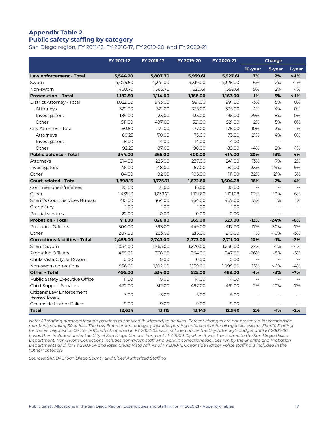# **Appendix Table 2 Public safety staffing by category**

San Diego region, FY 2011-12, FY 2016-17, FY 2019-20, and FY 2020-21

|                                           | FY 2011-12 | FY 2016-17 | FY 2019-20 | FY 2020-21 | <b>Change</b>            |                |                |
|-------------------------------------------|------------|------------|------------|------------|--------------------------|----------------|----------------|
|                                           |            |            |            |            | 10-year                  | 5-year         | 1-year         |
| <b>Law enforcement - Total</b>            | 5,544.20   | 5,807.70   | 5,939.61   | 5,927.61   | 7%                       | 2%             | $~1\%$         |
| Sworn                                     | 4,075.50   | 4,241.00   | 4,319.00   | 4,328.00   | 6%                       | 2%             | $1\%$          |
| Non-sworn                                 | 1,468.70   | 1,566.70   | 1,620.61   | 1,599.61   | 9%                       | 2%             | $-1%$          |
| <b>Prosecution - Total</b>                | 1,182.50   | 1,114.00   | 1,168.00   | 1,167.00   | $-1%$                    | 5%             | $~1\%$         |
| District Attorney - Total                 | 1,022.00   | 943.00     | 991.00     | 991.00     | $-3%$                    | 5%             | 0%             |
| Attorneys                                 | 322.00     | 321.00     | 335.00     | 335.00     | 4%                       | 4%             | 0%             |
| Investigators                             | 189.00     | 125.00     | 135.00     | 135.00     | $-29%$                   | 8%             | 0%             |
| Other                                     | 511.00     | 497.00     | 521.00     | 521.00     | 2%                       | 5%             | 0%             |
| City Attorney - Total                     | 160.50     | 171.00     | 177.00     | 176.00     | 10%                      | 3%             | $-1%$          |
| Attorneys                                 | 60.25      | 70.00      | 73.00      | 73.00      | 21%                      | 4%             | 0%             |
| Investigators                             | 8.00       | 14.00      | 14.00      | 14.00      | $\overline{\phantom{a}}$ | $\sim$ $\sim$  | $\overline{a}$ |
| Other                                     | 92.25      | 87.00      | 90.00      | 89.00      | $-4%$                    | 2%             | $-1%$          |
| <b>Public defense - Total</b>             | 344.00     | 365.00     | 400.00     | 414.00     | 20%                      | 13%            | 4%             |
| Attorneys                                 | 214.00     | 225.00     | 237.00     | 241.00     | 13%                      | 7%             | 2%             |
| Investigators                             | 46.00      | 48.00      | 57.00      | 62.00      | 35%                      | 29%            | 9%             |
| Other                                     | 84.00      | 92.00      | 106.00     | 111.00     | 32%                      | 21%            | 5%             |
| <b>Court-related - Total</b>              | 1,898.13   | 1,725.71   | 1,672.60   | 1,604.28   | $-16%$                   | $-7%$          | $-4%$          |
| Commissioners/referees                    | 25.00      | 21.00      | 16.00      | 15.00      | $\overline{a}$           | $\overline{a}$ |                |
| Other                                     | 1,435.13   | 1,239.71   | 1,191.60   | 1,121.28   | $-22%$                   | $-10%$         | $-6%$          |
| <b>Sheriff's Court Services Bureau</b>    | 415.00     | 464.00     | 464.00     | 467.00     | 13%                      | 1%             | 1%             |
| Grand Jury                                | 1.00       | 1.00       | 1.00       | 1.00       | $-$                      | $\overline{a}$ | $-$            |
| <b>Pretrial services</b>                  | 22.00      | 0.00       | 0.00       | 0.00       | $\overline{a}$           | $\overline{a}$ | $-$            |
| <b>Probation - Total</b>                  | 711.00     | 826.00     | 665.00     | 627.00     | $-12%$                   | $-24%$         | $-6%$          |
| <b>Probation Officers</b>                 | 504.00     | 593.00     | 449.00     | 417.00     | $-17%$                   | $-30%$         | $-7%$          |
| Other                                     | 207.00     | 233.00     | 216.00     | 210.00     | 1%                       | $-10%$         | $-3%$          |
| <b>Corrections facilities - Total</b>     | 2,459.00   | 2,743.00   | 2,773.00   | 2,711.00   | 10%                      | $-1%$          | $-2%$          |
| Sheriff Sworn                             | 1,034.00   | 1,263.00   | 1,270.00   | 1,266.00   | 22%                      | $1\%$          | $< -1%$        |
| <b>Probation Officers</b>                 | 469.00     | 378.00     | 364.00     | 347.00     | $-26%$                   | $-8%$          | $-5%$          |
| Chula Vista City Jail Sworn               | 0.00       | 0.00       | 0.00       | 0.00       | $-$                      | $\overline{a}$ |                |
| Non-sworn corrections                     | 956.00     | 1,102.00   | 1,139.00   | 1,098.00   | 15%                      | $< -1\%$       | $-4%$          |
| <b>Other - Total</b>                      | 495.00     | 534.00     | 525.00     | 489.00     | $-1%$                    | $-8%$          | $-7%$          |
| Public Safety Executive Office            | 11.00      | 10.00      | 14.00      | 14.00      | $-$                      | $\overline{a}$ |                |
| <b>Child Support Services</b>             | 472.00     | 512.00     | 497.00     | 461.00     | $-2%$                    | $-10%$         | $-7%$          |
| Citizens' Law Enforcement<br>Review Board | 3.00       | 3.00       | 5.00       | 5.00       | $-$                      | $\sim$         |                |
| Oceanside Harbor Police                   | 9.00       | 9.00       | 9.00       | 9.00       |                          | $\overline{a}$ |                |
| <b>Total</b>                              | 12,634     | 13,115     | 13,143     | 12,940     | 2%                       | $-1%$          | $-2%$          |

*Note: All staffing numbers include positions authorized (budgeted) to be filled. Percent changes are not presented for comparison numbers equaling 30 or less. The Law Enforcement category includes parking enforcement for all agencies except Sheriff. Staffing for the Family Justice Center (FJC), which opened in FY 2002-03, was included under the City Attorney's budget until FY 2005-06. It was then included under the City of San Diego General Fund until FY 2009-10, when it was transferred to the San Diego Police Department. Non-Sworn Corrections includes non-sworn staff who work in corrections facilities run by the Sheriff's and Probation Departments and, for FY 2003-04 and later, Chula Vista Jail. As of FY 2010-11, Oceanside Harbor Police staffing is included in the "Other" category.*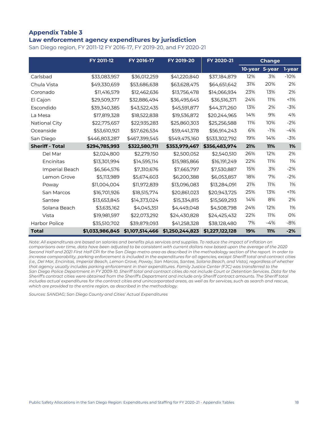### **Appendix Table 3 Law enforcement agency expenditures by jurisdiction**

San Diego region, FY 2011-12 FY 2016-17, FY 2019-20, and FY 2020-21

|                        | FY 2011-12      | FY 2016-17      | FY 2019-20      | FY 2020-21      |                | Change     |        |
|------------------------|-----------------|-----------------|-----------------|-----------------|----------------|------------|--------|
|                        |                 |                 |                 |                 | 10-year 5-year |            | 1-year |
| Carlsbad               | \$33,083,957    | \$36,012,259    | \$41,220,840    | \$37,184,879    | 12%            | 3%         | $-10%$ |
| Chula Vista            | \$49,330,659    | \$53,686,638    | \$63,628,475    | \$64,651,642    | 31%            | 20%        | 2%     |
| Coronado               | \$11,416,579    | \$12,462,636    | \$13,756,478    | \$14,066,934    | 23%            | 13%        | 2%     |
| El Cajon               | \$29,509,377    | \$32,886,494    | \$36,495,645    | \$36,516,371    | 24%            | 11%        | $1\%$  |
| Escondido              | \$39,340,385    | \$43,522,435    | \$45,591,877    | \$44,371,260    | 13%            | 2%         | $-3%$  |
| La Mesa                | \$17,819,328    | \$18,522,838    | \$19,536,872    | \$20,244,965    | 14%            | 9%         | 4%     |
| National City          | \$22,775,657    | \$22,935,283    | \$25,860,303    | \$25,256,588    | 11%            | 10%        | $-2%$  |
| Oceanside              | \$53,610,921    | \$57,626,534    | \$59,441,378    | \$56,914,243    | 6%             | $-1%$      | $-4%$  |
| San Diego              | \$446,803,287   | \$467,399,545   | \$549,475,160   | \$533,302,792   | 19%            | 14%        | $-3%$  |
| <b>Sheriff - Total</b> | \$294,785,993   | \$322,580,711   | \$353,979,467   | \$356,483,974   | 21%            | <b>11%</b> | 1%     |
| Del Mar                | \$2,024,800     | \$2,279,150     | \$2,500,052     | \$2,540,510     | 26%            | 12%        | 2%     |
| Encinitas              | \$13,301,994    | \$14,595,114    | \$15,985,866    | \$16,191,249    | 22%            | 11%        | 1%     |
| Imperial Beach         | \$6,564,576     | \$7,310,676     | \$7,665,797     | \$7,530,887     | 15%            | 3%         | $-2%$  |
| Lemon Grove            | \$5,113,989     | \$5,674,603     | \$6,200,388     | \$6,053,857     | 18%            | 7%         | $-2%$  |
| Poway                  | \$11,004,004    | \$11,972,839    | \$13,096,083    | \$13,284,091    | 21%            | 11%        | 1%     |
| San Marcos             | \$16,701,926    | \$18,515,774    | \$20,861,023    | \$20,943,725    | 25%            | 13%        | $1\%$  |
| Santee                 | \$13,653,845    | \$14,373,024    | \$15,334,815    | \$15,569,293    | 14%            | 8%         | 2%     |
| Solana Beach           | \$3,635,162     | \$4,045,351     | \$4,449,048     | \$4,508,798     | 24%            | 12%        | 1%     |
| Vista                  | \$19,981,597    | \$22,073,292    | \$24,430,828    | \$24,425,432    | 22%            | 11%        | 0%     |
| <b>Harbor Police</b>   | \$35,510,702    | \$39,879,093    | \$41,258,328    | \$38,128,480    | 7%             | $-4%$      | -8%    |
| <b>Total</b>           | \$1,033,986,845 | \$1,107,514,466 | \$1,250,244,823 | \$1,227,122,128 | 19%            | <b>11%</b> | $-2%$  |

*Note: All expenditures are based on salaries and benefits plus services and supplies. To reduce the impact of inflation on comparisons over time, data have been adjusted to be consistent with current dollars now based upon the average of the 2020 Second Half and 2021 First Half CPI for the San Diego metro area as described in the methodology section of the report. In order to increase comparability, parking enforcement is included in the expenditures for all agencies, except Sheriff total and contract cities (i.e., Del Mar, Encinitas, Imperial Beach, Lemon Grove, Poway, San Marcos, Santee, Solana Beach, and Vista), regardless of whether that agency usually includes parking enforcement in their expenditures. Family Justice Center (FJC) was transferred to the San Diego Police Department in FY 2009-10. Sheriff total and contract cities do not include Court or Detention Services. Data for the Sheriff's contract cities were obtained from the Sheriff's Department and include only Sheriff contract amounts. The Sheriff total includes actual expenditures for the contract cities and unincorporated areas, as well as for services, such as search and rescue, which are provided to the entire region, as described in the methodology.*

*Sources: SANDAG; San Diego County and Cities' Actual Expenditures*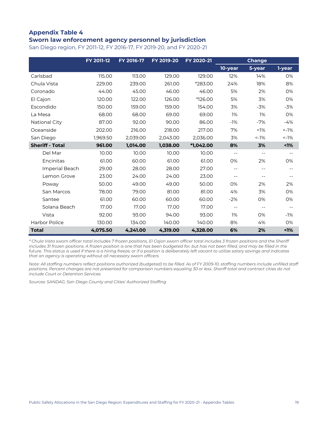### **Appendix Table 4 Sworn law enforcement agency personnel by jurisdiction**

San Diego region, FY 2011-12, FY 2016-17, FY 2019-20, and FY 2020-21

|                        | FY 2011-12 | FY 2016-17 | FY 2019-20 | FY 2020-21 |                          | <b>Change</b>            |          |
|------------------------|------------|------------|------------|------------|--------------------------|--------------------------|----------|
|                        |            |            |            |            | 10-year                  | 5-year                   | 1-year   |
| Carlsbad               | 115.00     | 113.00     | 129.00     | 129.00     | 12%                      | 14%                      | 0%       |
| Chula Vista            | 229.00     | 239.00     | 261.00     | *283.00    | 24%                      | 18%                      | 8%       |
| Coronado               | 44.00      | 45.00      | 46.00      | 46.00      | 5%                       | 2%                       | 0%       |
| El Cajon               | 120.00     | 122.00     | 126.00     | *126.00    | 5%                       | 3%                       | 0%       |
| Escondido              | 150.00     | 159.00     | 159.00     | 154.00     | 3%                       | $-3%$                    | $-3%$    |
| La Mesa                | 68.00      | 68.00      | 69.00      | 69.00      | 1%                       | 1%                       | 0%       |
| National City          | 87.00      | 92.00      | 90.00      | 86.00      | $-1%$                    | $-7%$                    | $-4%$    |
| Oceanside              | 202.00     | 216.00     | 218.00     | 217.00     | 7%                       | $1\%$                    | $< -1\%$ |
| San Diego              | 1,969.50   | 2,039.00   | 2,043.00   | 2,036.00   | 3%                       | $< -1%$                  | $< -1\%$ |
| <b>Sheriff - Total</b> | 961.00     | 1,014.00   | 1,038.00   | *1,042.00  | 8%                       | 3%                       | $1\%$    |
| Del Mar                | 10.00      | 10.00      | 10.00      | 10.00      | $\overline{\phantom{m}}$ | $-\,-$                   |          |
| Encinitas              | 61.00      | 60.00      | 61.00      | 61.00      | 0%                       | 2%                       | 0%       |
| Imperial Beach         | 29.00      | 28.00      | 28.00      | 27.00      | $- -$                    | $- -$                    |          |
| Lemon Grove            | 23.00      | 24.00      | 24.00      | 23.00      | $- -$                    | $- -$                    |          |
| Poway                  | 50.00      | 49.00      | 49.00      | 50.00      | <b>O%</b>                | 2%                       | 2%       |
| San Marcos             | 78.00      | 79.00      | 81.00      | 81.00      | 4%                       | 3%                       | 0%       |
| Santee                 | 61.00      | 60.00      | 60.00      | 60.00      | $-2%$                    | 0%                       | 0%       |
| Solana Beach           | 17.00      | 17.00      | 17.00      | 17.00      | $\overline{\phantom{m}}$ | $\overline{\phantom{a}}$ |          |
| Vista                  | 92.00      | 93.00      | 94.00      | 93.00      | 1%                       | 0%                       | $-1%$    |
| Harbor Police          | 130.00     | 134.00     | 140.00     | 140.00     | 8%                       | 4%                       | 0%       |
| <b>Total</b>           | 4,075.50   | 4,241.00   | 4,319.00   | 4,328.00   | 6%                       | 2%                       | 1%       |

*\* Chula Vista sworn officer total includes 7 frozen positions, El Cajon sworn officer total includes 3 frozen positions and the Sheriff includes 31 frozen positions. A frozen position is one that has been budgeted for, but has not been filled, and may be filled in the future. This status is used if there is a hiring freeze, or if a position is deliberately left vacant to utilize salary savings and indicates that an agency is operating without all necessary sworn officers.*

*Note: All staffing numbers reflect positions authorized (budgeted) to be filled. As of FY 2009-10, staffing numbers include unfilled staff positions. Percent changes are not presented for comparison numbers equaling 30 or less. Sheriff total and contract cities do not include Court or Detention Services.*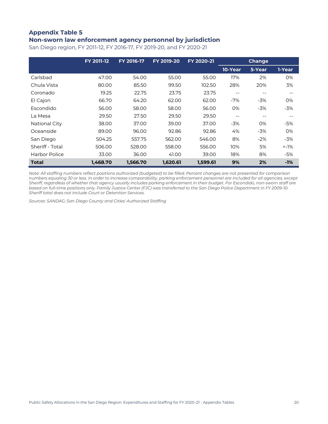# **Appendix Table 5**

# **Non-sworn law enforcement agency personnel by jurisdiction**

San Diego region, FY 2011-12, FY 2016-17, FY 2019-20, and FY 2020-21

|                      | <b>FY 2011-12</b> | FY 2016-17 | FY 2019-20 | FY 2020-21 |         | <b>Change</b> |            |
|----------------------|-------------------|------------|------------|------------|---------|---------------|------------|
|                      |                   |            |            |            | 10-Year | 5-Year        | 1-Year     |
| Carlsbad             | 47.00             | 54.00      | 55.00      | 55.00      | 17%     | 2%            | 0%         |
| Chula Vista          | 80.00             | 85.50      | 99.50      | 102.50     | 28%     | 20%           | 3%         |
| Coronado             | 19.25             | 22.75      | 23.75      | 23.75      | $- -$   | --            |            |
| El Cajon             | 66.70             | 64.20      | 62.00      | 62.00      | -7%     | $-3\%$        | 0%         |
| Escondido            | 56.00             | 58.00      | 58.00      | 56.00      | 0%      | $-3%$         | $-3%$      |
| La Mesa              | 29.50             | 27.50      | 29.50      | 29.50      | $- -$   | $- -$         | $ -$       |
| <b>National City</b> | 38.00             | 37.00      | 39.00      | 37.00      | $-3%$   | 0%            | -5%        |
| Oceanside            | 89.00             | 96.00      | 92.86      | 92.86      | 4%      | $-3%$         | 0%         |
| San Diego            | 504.25            | 557.75     | 562.00     | 546.00     | 8%      | $-2%$         | -3%        |
| Sheriff - Total      | 506.00            | 528.00     | 558.00     | 556.00     | 10%     | 5%            | $\leq$ -1% |
| Harbor Police        | 33.00             | 36.00      | 41.00      | 39.00      | 18%     | 8%            | -5%        |
| <b>Total</b>         | 1,468.70          | 1,566.70   | 1,620.61   | 1,599.61   | 9%      | 2%            | $-1%$      |

*Note: All staffing numbers reflect positions authorized (budgeted) to be filled. Percent changes are not presented for comparison numbers equaling 30 or less. In order to increase comparability, parking enforcement personnel are included for all agencies, except Sheriff, regardless of whether that agency usually includes parking enforcement in their budget. For Escondido, non-sworn staff are based on full-time positions only. Family Justice Center (FJC) was transferred to the San Diego Police Department in FY 2009-10. Sheriff total does not include Court or Detention Services.*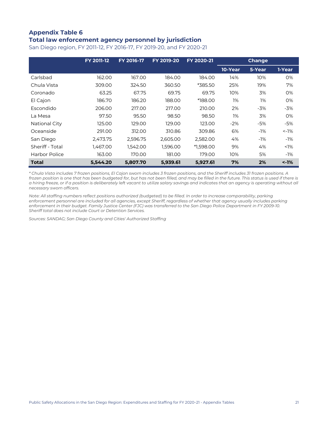### **Appendix Table 6 Total law enforcement agency personnel by jurisdiction**

| San Diego region, FY 2011-12, FY 2016-17, FY 2019-20, and FY 2020-21 |  |
|----------------------------------------------------------------------|--|
|----------------------------------------------------------------------|--|

|                      | <b>FY 2011-12</b> | FY 2016-17 | FY 2019-20 | FY 2020-21 |         | <b>Change</b> |          |
|----------------------|-------------------|------------|------------|------------|---------|---------------|----------|
|                      |                   |            |            |            | 10-Year | 5-Year        | 1-Year   |
| Carlsbad             | 162.00            | 167.00     | 184.00     | 184.00     | 14%     | 10%           | 0%       |
| Chula Vista          | 309.00            | 324.50     | 360.50     | *385.50    | 25%     | 19%           | 7%       |
| Coronado             | 63.25             | 67.75      | 69.75      | 69.75      | 10%     | 3%            | 0%       |
| El Cajon             | 186.70            | 186.20     | 188.00     | *188.00    | 1%      | 1%            | 0%       |
| Escondido            | 206.00            | 217.00     | 217.00     | 210.00     | 2%      | -3%           | -3%      |
| La Mesa              | 97.50             | 95.50      | 98.50      | 98.50      | 1%      | 3%            | 0%       |
| <b>National City</b> | 125.00            | 129.00     | 129.00     | 123.00     | $-2%$   | $-5%$         | -5%      |
| Oceanside            | 291.00            | 312.00     | 310.86     | 309.86     | 6%      | $-1%$         | $< -1\%$ |
| San Diego            | 2,473.75          | 2.596.75   | 2.605.00   | 2,582.00   | 4%      | $-1%$         | $-1%$    |
| Sheriff - Total      | 1.467.00          | 1.542.00   | 1,596.00   | *1.598.00  | 9%      | 4%            | $< 1\%$  |
| Harbor Police        | 163.00            | 170.00     | 181.00     | 179.00     | 10%     | 5%            | -1%      |
| <b>Total</b>         | 5,544.20          | 5,807.70   | 5,939.61   | 5,927.61   | 7%      | 2%            | $~1\%$   |

*\* Chula Vista includes 7 frozen positions, El Cajon sworn includes 3 frozen positions, and the Sheriff includes 31 frozen positions. A frozen position is one that has been budgeted for, but has not been filled, and may be filled in the future. This status is used if there is a hiring freeze, or if a position is deliberately left vacant to utilize salary savings and indicates that an agency is operating without all necessary sworn officers.*

*Note: All staffing numbers reflect positions authorized (budgeted) to be filled. In order to increase comparability, parking enforcement personnel are included for all agencies, except Sheriff, regardless of whether that agency usually includes parking enforcement in their budget. Family Justice Center (FJC) was transferred to the San Diego Police Department in FY 2009-10. Sheriff total does not include Court or Detention Services.*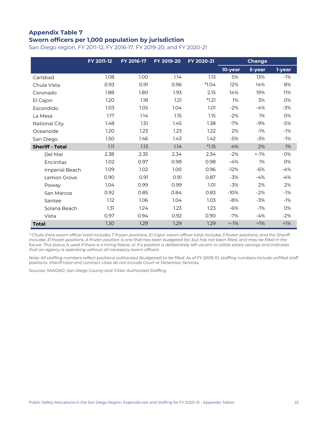### **Appendix Table 7 Sworn officers per 1,000 population by jurisdiction**

San Diego region, FY 2011-12, FY 2016-17, FY 2019-20, and FY 2020-21

|                        | <b>FY 2011-12</b> | FY 2016-17 | FY 2019-20 | FY 2020-21 |          | <b>Change</b> |        |
|------------------------|-------------------|------------|------------|------------|----------|---------------|--------|
|                        |                   |            |            |            | 10-year  | 5-year        | 1-year |
| Carlsbad               | 1.08              | 1.00       | 1.14       | 1.13       | 5%       | 13%           | $-1%$  |
| Chula Vista            | 0.93              | 0.91       | 0.96       | $*1.04$    | 12%      | 14%           | 8%     |
| Coronado               | 1.88              | 1.80       | 1.93       | 2.15       | 14%      | 19%           | 11%    |
| El Cajon               | 1.20              | 1.18       | 1.21       | $*1.21$    | 1%       | 3%            | 0%     |
| Escondido              | 1.03              | 1.05       | 1.04       | 1.01       | $-2%$    | $-4%$         | $-3%$  |
| La Mesa                | 1.17              | 1.14       | 1.15       | 1.15       | $-2%$    | 1%            | 0%     |
| National City          | 1.48              | 1.51       | 1.45       | 1.38       | $-7%$    | $-9%$         | $-5%$  |
| Oceanside              | 1.20              | 1.23       | 1.23       | 1.22       | 2%       | $-1%$         | $-1%$  |
| San Diego              | 1.50              | 1.46       | 1.43       | 1.42       | $-5%$    | $-3%$         | $-1%$  |
| <b>Sheriff - Total</b> | 1.11              | 1.13       | 1.14       | $*1.15$    | 4%       | 2%            | 1%     |
| Del Mar                | 2.38              | 2.35       | 2.34       | 2.34       | $-2%$    | $< -1\%$      | 0%     |
| Encinitas              | 1.02              | 0.97       | 0.98       | 0.98       | $-4%$    | 1%            | 0%     |
| Imperial Beach         | 1.09              | 1.02       | 1.00       | 0.96       | $-12%$   | $-6%$         | $-4%$  |
| Lemon Grove            | 0.90              | 0.91       | 0.91       | 0.87       | $-3%$    | $-4%$         | $-4%$  |
| Poway                  | 1.04              | 0.99       | 0.99       | 1.01       | $-3%$    | 2%            | 2%     |
| San Marcos             | 0.92              | 0.85       | 0.84       | 0.83       | $-10%$   | $-2%$         | $-1%$  |
| Santee                 | 1.12              | 1.06       | 1.04       | 1.03       | $-8%$    | $-3%$         | $-1%$  |
| Solana Beach           | 1.31              | 1.24       | 1.23       | 1.23       | $-6%$    | $-1%$         | 0%     |
| Vista                  | 0.97              | 0.94       | 0.92       | 0.90       | $-7%$    | $-4%$         | $-2%$  |
| <b>Total</b>           | 1.30              | 1.29       | 1.29       | 1.29       | $< -1\%$ | $1\%$         | $1\%$  |

*\* Chula Vista sworn officer total includes 7 frozen positions, El Cajon sworn officer total includes 3 frozen positions, and the Sheriff includes 31 frozen positions. A frozen position is one that has been budgeted for, but has not been filled, and may be filled in the*  future. This status is used if there is a hiring freeze, or if a position is deliberately left vacant to utilize salary savings and indicates *that an agency is operating without all necessary sworn officers.*

*Note: All staffing numbers reflect positions authorized (budgeted) to be filled. As of FY 2009-10, staffing numbers include unfilled staff positions. Sheriff total and contract cities do not include Court or Detention Services.*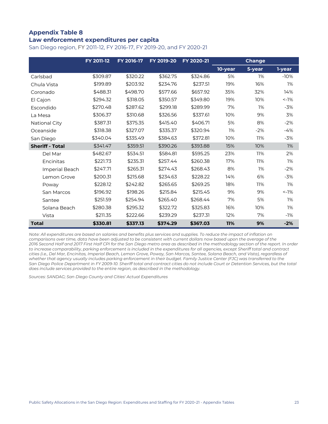### **Appendix Table 8 Law enforcement expenditures per capita**

San Diego region, FY 2011-12, FY 2016-17, FY 2019-20, and FY 2020-21

|                        | <b>FY 2011-12</b> | FY 2016-17 | FY 2019-20 | FY 2020-21 |         | <b>Change</b> |          |
|------------------------|-------------------|------------|------------|------------|---------|---------------|----------|
|                        |                   |            |            |            | 10-year | 5-year        | 1-year   |
| Carlsbad               | \$309.87          | \$320.22   | \$362.75   | \$324.86   | 5%      | 1%            | $-10%$   |
| Chula Vista            | \$199.89          | \$203.92   | \$234.76   | \$237.51   | 19%     | 16%           | 1%       |
| Coronado               | \$488.31          | \$498.70   | \$577.66   | \$657.92   | 35%     | 32%           | 14%      |
| El Cajon               | \$294.32          | \$318.05   | \$350.57   | \$349.80   | 19%     | 10%           | $< -1\%$ |
| Escondido              | \$270.48          | \$287.62   | \$299.18   | \$289.99   | 7%      | 1%            | $-3%$    |
| La Mesa                | \$306.37          | \$310.68   | \$326.56   | \$337.61   | 10%     | 9%            | 3%       |
| <b>National City</b>   | \$387.31          | \$375.35   | \$415.40   | \$406.71   | 5%      | 8%            | $-2%$    |
| Oceanside              | \$318.38          | \$327.07   | \$335.37   | \$320.94   | 1%      | $-2%$         | $-4%$    |
| San Diego              | \$340.04          | \$335.49   | \$384.63   | \$372.81   | 10%     | 11%           | $-3%$    |
| <b>Sheriff - Total</b> | \$341.47          | \$359.51   | \$390.26   | \$393.88   | 15%     | 10%           | 1%       |
| Del Mar                | \$482.67          | \$534.51   | \$584.81   | \$595.25   | 23%     | 11%           | 2%       |
| Encinitas              | \$221.73          | \$235.31   | \$257.44   | \$260.38   | 17%     | 11%           | 1%       |
| Imperial Beach         | \$247.71          | \$265.31   | \$274.43   | \$268.43   | 8%      | 1%            | $-2%$    |
| Lemon Grove            | \$200.31          | \$215.68   | \$234.63   | \$228.22   | 14%     | 6%            | $-3%$    |
| Poway                  | \$228.12          | \$242.82   | \$265.65   | \$269.25   | 18%     | 11%           | 1%       |
| San Marcos             | \$196.92          | \$198.26   | \$215.84   | \$215.45   | 9%      | 9%            | $< -1\%$ |
| Santee                 | \$251.59          | \$254.94   | \$265.40   | \$268.44   | 7%      | 5%            | 1%       |
| Solana Beach           | \$280.38          | \$295.32   | \$322.72   | \$325.83   | 16%     | 10%           | 1%       |
| Vista                  | \$211.35          | \$222.66   | \$239.29   | \$237.31   | 12%     | 7%            | $-1%$    |
| <b>Total</b>           | \$330.81          | \$337.13   | \$374.29   | \$367.03   | 11%     | 9%            | $-2%$    |

*Note: All expenditures are based on salaries and benefits plus services and supplies. To reduce the impact of inflation on comparisons over time, data have been adjusted to be consistent with current dollars now based upon the average of the 2016 Second Half and 2017 First Half CPI for the San Diego metro area as described in the methodology section of the report. In order to increase comparability, parking enforcement is included in the expenditures for all agencies, except Sheriff total and contract cities (i.e., Del Mar, Encinitas, Imperial Beach, Lemon Grove, Poway, San Marcos, Santee, Solana Beach, and Vista), regardless of whether that agency usually includes parking enforcement in their budget. Family Justice Center (FJC) was transferred to the San Diego Police Department in FY 2009-10. Sheriff total and contract cities do not include Court or Detention Services, but the total does include services provided to the entire region, as described in the methodology.*

*Sources: SANDAG; San Diego County and Cities' Actual Expenditures*